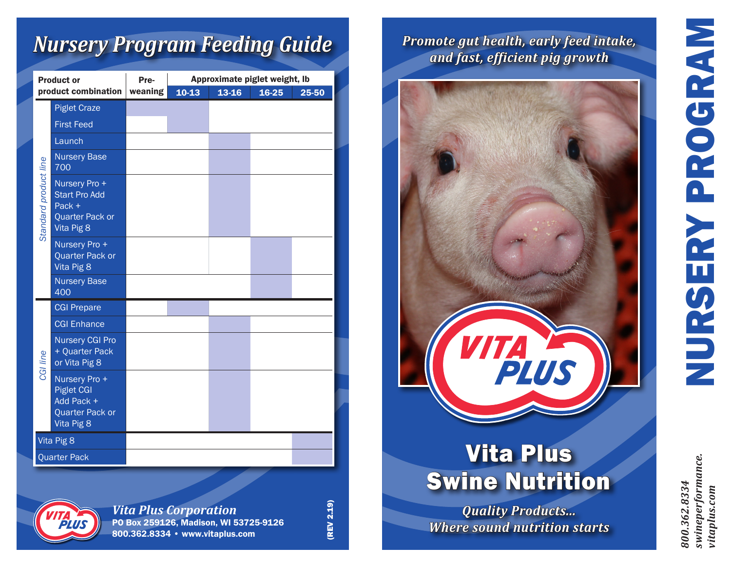# *Nursery Program Feeding Guide*

| <b>Product or</b>     |                                                                                   | Pre-    | Approximate piglet weight, Ib |       |       |       |
|-----------------------|-----------------------------------------------------------------------------------|---------|-------------------------------|-------|-------|-------|
| product combination   |                                                                                   | weaning | $10-13$                       | 13-16 | 16-25 | 25-50 |
| Standard product line | <b>Piglet Craze</b>                                                               |         |                               |       |       |       |
|                       | <b>First Feed</b>                                                                 |         |                               |       |       |       |
|                       | Launch                                                                            |         |                               |       |       |       |
|                       | <b>Nursery Base</b><br>700                                                        |         |                               |       |       |       |
|                       | Nursery Pro +<br><b>Start Pro Add</b><br>Pack +<br>Quarter Pack or<br>Vita Pig 8  |         |                               |       |       |       |
|                       | Nursery Pro +<br>Quarter Pack or<br>Vita Pig 8                                    |         |                               |       |       |       |
|                       | <b>Nursery Base</b><br>400                                                        |         |                               |       |       |       |
| CGI line              | <b>CGI Prepare</b>                                                                |         |                               |       |       |       |
|                       | <b>CGI Enhance</b>                                                                |         |                               |       |       |       |
|                       | <b>Nursery CGI Pro</b><br>+ Quarter Pack<br>or Vita Pig 8                         |         |                               |       |       |       |
|                       | Nursery Pro +<br><b>Piglet CGI</b><br>Add Pack +<br>Quarter Pack or<br>Vita Pig 8 |         |                               |       |       |       |
| Vita Pig 8            |                                                                                   |         |                               |       |       |       |
|                       | <b>Quarter Pack</b>                                                               |         |                               |       |       |       |



*Vita Plus Corporation* PO Box 259126, Madison, WI 53725-9126 800.362.8334 • www.vitaplus.com

*Promote gut health, early feed intake, and fast, efficient pig growth*



# Vita Plus Swine Nutrition

*Quality Products... Where sound nutrition starts*

NURSERY PROGRAM NURSERY PROGRAM

*800.362.8334 swineperformance. vitaplus.com*